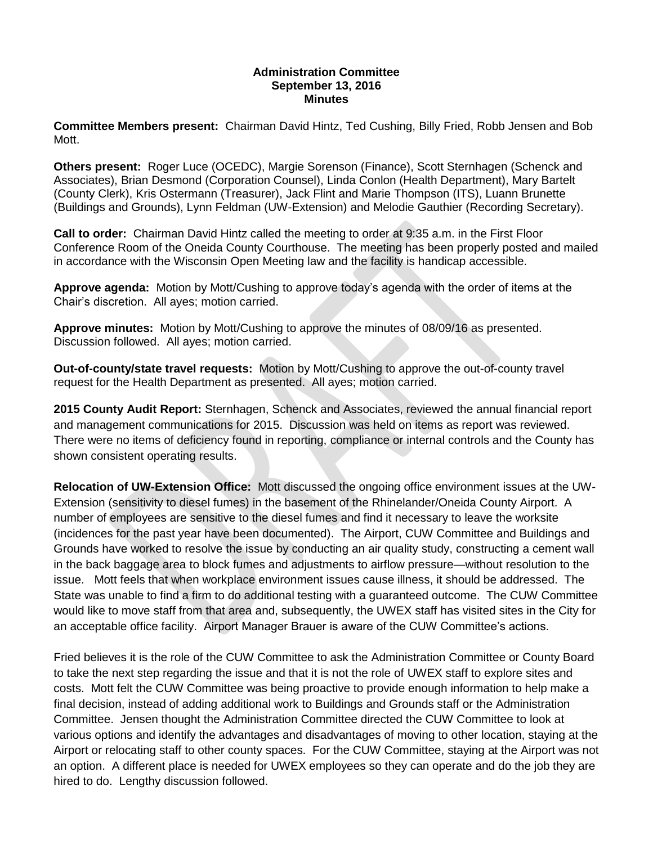## **Administration Committee September 13, 2016 Minutes**

**Committee Members present:** Chairman David Hintz, Ted Cushing, Billy Fried, Robb Jensen and Bob Mott.

**Others present:** Roger Luce (OCEDC), Margie Sorenson (Finance), Scott Sternhagen (Schenck and Associates), Brian Desmond (Corporation Counsel), Linda Conlon (Health Department), Mary Bartelt (County Clerk), Kris Ostermann (Treasurer), Jack Flint and Marie Thompson (ITS), Luann Brunette (Buildings and Grounds), Lynn Feldman (UW-Extension) and Melodie Gauthier (Recording Secretary).

**Call to order:** Chairman David Hintz called the meeting to order at 9:35 a.m. in the First Floor Conference Room of the Oneida County Courthouse. The meeting has been properly posted and mailed in accordance with the Wisconsin Open Meeting law and the facility is handicap accessible.

**Approve agenda:** Motion by Mott/Cushing to approve today's agenda with the order of items at the Chair's discretion. All ayes; motion carried.

**Approve minutes:** Motion by Mott/Cushing to approve the minutes of 08/09/16 as presented. Discussion followed. All ayes; motion carried.

**Out-of-county/state travel requests:** Motion by Mott/Cushing to approve the out-of-county travel request for the Health Department as presented. All ayes; motion carried.

**2015 County Audit Report:** Sternhagen, Schenck and Associates, reviewed the annual financial report and management communications for 2015. Discussion was held on items as report was reviewed. There were no items of deficiency found in reporting, compliance or internal controls and the County has shown consistent operating results.

**Relocation of UW-Extension Office:** Mott discussed the ongoing office environment issues at the UW-Extension (sensitivity to diesel fumes) in the basement of the Rhinelander/Oneida County Airport. A number of employees are sensitive to the diesel fumes and find it necessary to leave the worksite (incidences for the past year have been documented). The Airport, CUW Committee and Buildings and Grounds have worked to resolve the issue by conducting an air quality study, constructing a cement wall in the back baggage area to block fumes and adjustments to airflow pressure—without resolution to the issue. Mott feels that when workplace environment issues cause illness, it should be addressed. The State was unable to find a firm to do additional testing with a guaranteed outcome. The CUW Committee would like to move staff from that area and, subsequently, the UWEX staff has visited sites in the City for an acceptable office facility. Airport Manager Brauer is aware of the CUW Committee's actions.

Fried believes it is the role of the CUW Committee to ask the Administration Committee or County Board to take the next step regarding the issue and that it is not the role of UWEX staff to explore sites and costs. Mott felt the CUW Committee was being proactive to provide enough information to help make a final decision, instead of adding additional work to Buildings and Grounds staff or the Administration Committee. Jensen thought the Administration Committee directed the CUW Committee to look at various options and identify the advantages and disadvantages of moving to other location, staying at the Airport or relocating staff to other county spaces. For the CUW Committee, staying at the Airport was not an option. A different place is needed for UWEX employees so they can operate and do the job they are hired to do. Lengthy discussion followed.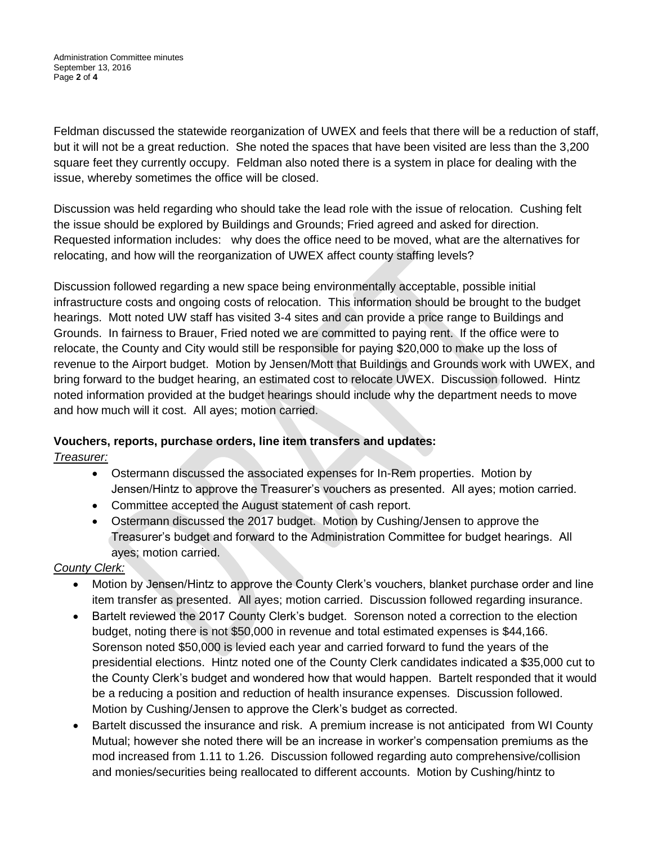Feldman discussed the statewide reorganization of UWEX and feels that there will be a reduction of staff, but it will not be a great reduction. She noted the spaces that have been visited are less than the 3,200 square feet they currently occupy. Feldman also noted there is a system in place for dealing with the issue, whereby sometimes the office will be closed.

Discussion was held regarding who should take the lead role with the issue of relocation. Cushing felt the issue should be explored by Buildings and Grounds; Fried agreed and asked for direction. Requested information includes: why does the office need to be moved, what are the alternatives for relocating, and how will the reorganization of UWEX affect county staffing levels?

Discussion followed regarding a new space being environmentally acceptable, possible initial infrastructure costs and ongoing costs of relocation. This information should be brought to the budget hearings. Mott noted UW staff has visited 3-4 sites and can provide a price range to Buildings and Grounds. In fairness to Brauer, Fried noted we are committed to paying rent. If the office were to relocate, the County and City would still be responsible for paying \$20,000 to make up the loss of revenue to the Airport budget. Motion by Jensen/Mott that Buildings and Grounds work with UWEX, and bring forward to the budget hearing, an estimated cost to relocate UWEX. Discussion followed. Hintz noted information provided at the budget hearings should include why the department needs to move and how much will it cost. All ayes; motion carried.

# **Vouchers, reports, purchase orders, line item transfers and updates:**

*Treasurer:*

- Ostermann discussed the associated expenses for In-Rem properties. Motion by Jensen/Hintz to approve the Treasurer's vouchers as presented. All ayes; motion carried.
- Committee accepted the August statement of cash report.
- Ostermann discussed the 2017 budget. Motion by Cushing/Jensen to approve the Treasurer's budget and forward to the Administration Committee for budget hearings. All ayes; motion carried.

# *County Clerk:*

- Motion by Jensen/Hintz to approve the County Clerk's vouchers, blanket purchase order and line item transfer as presented. All ayes; motion carried. Discussion followed regarding insurance.
- Bartelt reviewed the 2017 County Clerk's budget. Sorenson noted a correction to the election budget, noting there is not \$50,000 in revenue and total estimated expenses is \$44,166. Sorenson noted \$50,000 is levied each year and carried forward to fund the years of the presidential elections. Hintz noted one of the County Clerk candidates indicated a \$35,000 cut to the County Clerk's budget and wondered how that would happen. Bartelt responded that it would be a reducing a position and reduction of health insurance expenses. Discussion followed. Motion by Cushing/Jensen to approve the Clerk's budget as corrected.
- Bartelt discussed the insurance and risk. A premium increase is not anticipated from WI County Mutual; however she noted there will be an increase in worker's compensation premiums as the mod increased from 1.11 to 1.26. Discussion followed regarding auto comprehensive/collision and monies/securities being reallocated to different accounts. Motion by Cushing/hintz to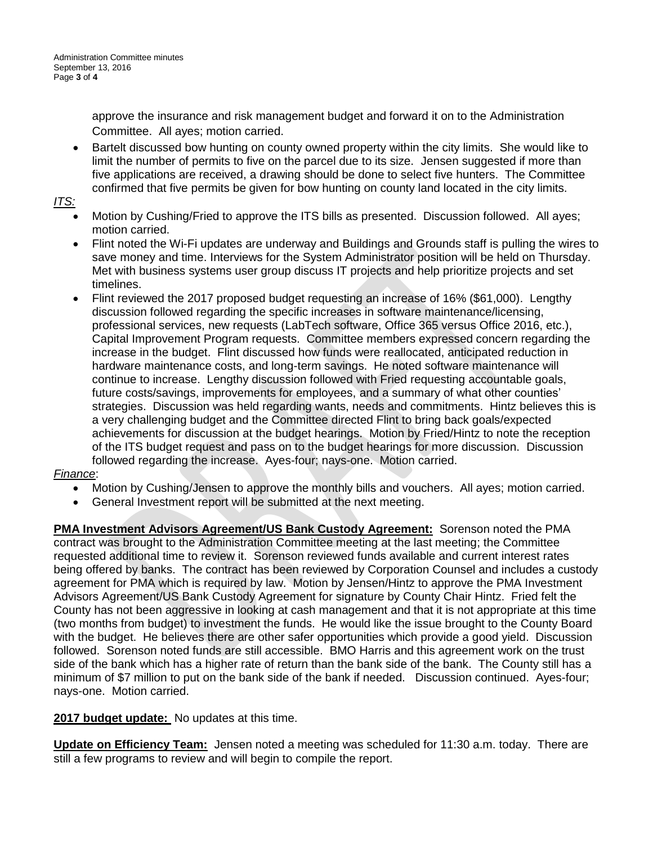approve the insurance and risk management budget and forward it on to the Administration Committee. All ayes; motion carried.

• Bartelt discussed bow hunting on county owned property within the city limits. She would like to limit the number of permits to five on the parcel due to its size. Jensen suggested if more than five applications are received, a drawing should be done to select five hunters. The Committee confirmed that five permits be given for bow hunting on county land located in the city limits.

## *ITS:*

- Motion by Cushing/Fried to approve the ITS bills as presented. Discussion followed. All ayes; motion carried.
- Flint noted the Wi-Fi updates are underway and Buildings and Grounds staff is pulling the wires to save money and time. Interviews for the System Administrator position will be held on Thursday. Met with business systems user group discuss IT projects and help prioritize projects and set timelines.
- Flint reviewed the 2017 proposed budget requesting an increase of 16% (\$61,000). Lengthy discussion followed regarding the specific increases in software maintenance/licensing, professional services, new requests (LabTech software, Office 365 versus Office 2016, etc.), Capital Improvement Program requests. Committee members expressed concern regarding the increase in the budget. Flint discussed how funds were reallocated, anticipated reduction in hardware maintenance costs, and long-term savings. He noted software maintenance will continue to increase. Lengthy discussion followed with Fried requesting accountable goals, future costs/savings, improvements for employees, and a summary of what other counties' strategies. Discussion was held regarding wants, needs and commitments. Hintz believes this is a very challenging budget and the Committee directed Flint to bring back goals/expected achievements for discussion at the budget hearings. Motion by Fried/Hintz to note the reception of the ITS budget request and pass on to the budget hearings for more discussion. Discussion followed regarding the increase. Ayes-four; nays-one. Motion carried.

# *Finance*:

- Motion by Cushing/Jensen to approve the monthly bills and vouchers. All ayes; motion carried.
- General Investment report will be submitted at the next meeting.

**PMA Investment Advisors Agreement/US Bank Custody Agreement:** Sorenson noted the PMA contract was brought to the Administration Committee meeting at the last meeting; the Committee requested additional time to review it. Sorenson reviewed funds available and current interest rates being offered by banks. The contract has been reviewed by Corporation Counsel and includes a custody agreement for PMA which is required by law. Motion by Jensen/Hintz to approve the PMA Investment Advisors Agreement/US Bank Custody Agreement for signature by County Chair Hintz. Fried felt the County has not been aggressive in looking at cash management and that it is not appropriate at this time (two months from budget) to investment the funds. He would like the issue brought to the County Board with the budget. He believes there are other safer opportunities which provide a good yield. Discussion followed. Sorenson noted funds are still accessible. BMO Harris and this agreement work on the trust side of the bank which has a higher rate of return than the bank side of the bank. The County still has a minimum of \$7 million to put on the bank side of the bank if needed. Discussion continued. Ayes-four; nays-one. Motion carried.

# **2017 budget update:** No updates at this time.

**Update on Efficiency Team:** Jensen noted a meeting was scheduled for 11:30 a.m. today. There are still a few programs to review and will begin to compile the report.